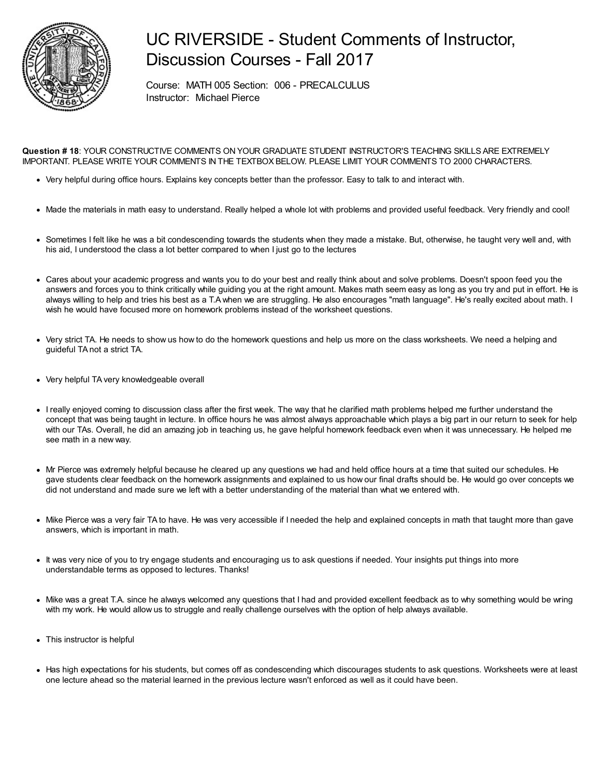

### UC RIVERSIDE - Student Comments of Instructor, Discussion Courses - Fall 2017

Course: MATH 005 Section: 006 - PRECALCULUS Instructor: Michael Pierce

**Question # 18**: YOUR CONSTRUCTIVE COMMENTS ON YOUR GRADUATE STUDENT INSTRUCTOR'S TEACHING SKILLS ARE EXTREMELY IMPORTANT. PLEASE WRITE YOUR COMMENTS IN THE TEXTBOX BELOW. PLEASE LIMIT YOUR COMMENTS TO 2000 CHARACTERS.

- Very helpful during office hours. Explains key concepts better than the professor. Easy to talk to and interact with.
- Made the materials in math easy to understand. Really helped a whole lot with problems and provided useful feedback. Very friendly and cool!
- Sometimes I felt like he was a bit condescending towards the students when they made a mistake. But, otherwise, he taught very well and, with his aid, I understood the class a lot better compared to when I just go to the lectures
- Cares about your academic progress and wants you to do your best and really think about and solve problems. Doesn't spoon feed you the answers and forces you to think critically while guiding you at the right amount. Makes math seem easy as long as you try and put in effort. He is always willing to help and tries his best as a T.Awhen we are struggling. He also encourages "math language". He's really excited about math. I wish he would have focused more on homework problems instead of the worksheet questions.
- Very strict TA. He needs to show us how to do the homework questions and help us more on the class worksheets. We need a helping and guideful TA not a strict TA.
- Very helpful TA very knowledgeable overall
- I really enjoyed coming to discussion class after the first week. The way that he clarified math problems helped me further understand the concept that was being taught in lecture. In office hours he was almost always approachable which plays a big part in our return to seek for help with our TAs. Overall, he did an amazing job in teaching us, he gave helpful homework feedback even when it was unnecessary. He helped me see math in a new way.
- Mr Pierce was extremely helpful because he cleared up any questions we had and held office hours at a time that suited our schedules. He gave students clear feedback on the homework assignments and explained to us how our final drafts should be. He would go over concepts we did not understand and made sure we left with a better understanding of the material than what we entered with.
- Mike Pierce was a very fair TA to have. He was very accessible if I needed the help and explained concepts in math that taught more than gave answers, which is important in math.
- It was very nice of you to try engage students and encouraging us to ask questions if needed. Your insights put things into more understandable terms as opposed to lectures. Thanks!
- Mike was a great T.A. since he always welcomed any questions that I had and provided excellent feedback as to why something would be wring with my work. He would allow us to struggle and really challenge ourselves with the option of help always available.
- This instructor is helpful
- Has high expectations for his students, but comes off as condescending which discourages students to ask questions. Worksheets were at least one lecture ahead so the material learned in the previous lecture wasn't enforced as well as it could have been.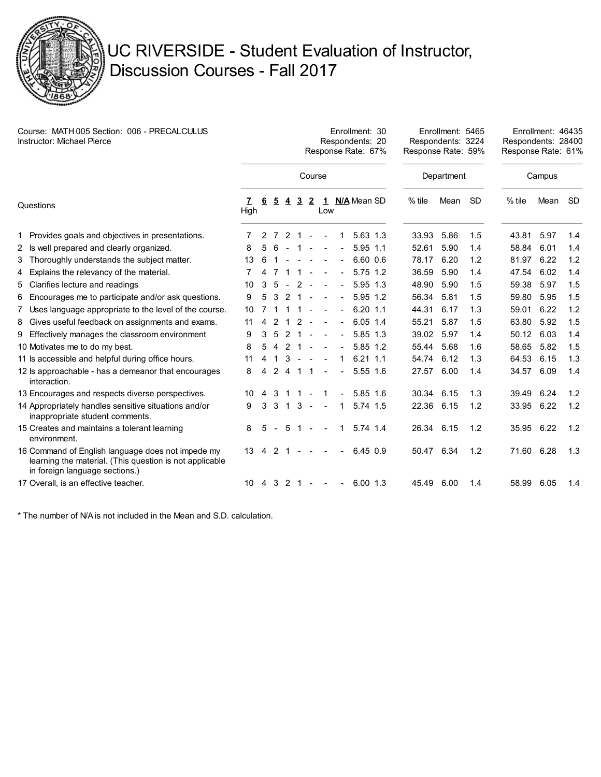

# UC RIVERSIDE - Student Evaluation of Instructor, Discussion Courses - Fall 2017

| Course: MATH 005 Section: 006 - PRECALCULUS<br><b>Instructor: Michael Pierce</b> |                                                                                                                                                |           |   | Enrollment: 30<br>Respondents: 20<br>Response Rate: 67% |                |                |                |        |  |                |               |  |            | Enrollment: 5465<br>Respondents: 3224<br>Response Rate: 59% |     |          | Enrollment: 46435<br>Respondents: 28400<br>Response Rate: 61% |           |  |
|----------------------------------------------------------------------------------|------------------------------------------------------------------------------------------------------------------------------------------------|-----------|---|---------------------------------------------------------|----------------|----------------|----------------|--------|--|----------------|---------------|--|------------|-------------------------------------------------------------|-----|----------|---------------------------------------------------------------|-----------|--|
|                                                                                  |                                                                                                                                                | Course    |   |                                                         |                |                |                |        |  |                |               |  | Department |                                                             |     | Campus   |                                                               |           |  |
| Questions                                                                        |                                                                                                                                                | 7<br>High | 6 | 5                                                       | 4              | $\overline{3}$ | $\overline{2}$ | Low    |  |                | 1 N/A Mean SD |  | $%$ tile   | Mean                                                        | -SD | $%$ tile | Mean                                                          | <b>SD</b> |  |
|                                                                                  | 1 Provides goals and objectives in presentations.                                                                                              |           | 2 | 7                                                       | 2              | -1             |                |        |  | 1              | $5.63$ 1.3    |  | 33.93      | 5.86                                                        | 1.5 | 43.81    | 5.97                                                          | 1.4       |  |
|                                                                                  | 2 Is well prepared and clearly organized.                                                                                                      | 8         | 5 | 6                                                       |                |                |                |        |  |                | $5.95$ 1.1    |  | 52.61      | 5.90                                                        | 1.4 | 58.84    | 6.01                                                          | 1.4       |  |
| 3.                                                                               | Thoroughly understands the subject matter.                                                                                                     | 13        | 6 |                                                         |                |                |                |        |  | $\blacksquare$ | 6.60 0.6      |  | 78.17      | 6.20                                                        | 1.2 | 81.97    | 6.22                                                          | 1.2       |  |
| 4                                                                                | Explains the relevancy of the material.                                                                                                        |           |   |                                                         |                | $\mathbf{1}$   |                |        |  | $\blacksquare$ | 5.75 1.2      |  | 36.59      | 5.90                                                        | 1.4 | 47.54    | 6.02                                                          | 1.4       |  |
| 5.                                                                               | Clarifies lecture and readings                                                                                                                 | 10        | 3 | -5                                                      |                | 2              |                |        |  | $\blacksquare$ | 5.95 1.3      |  | 48.90      | 5.90                                                        | 1.5 | 59.38    | 5.97                                                          | 1.5       |  |
| 6                                                                                | Encourages me to participate and/or ask questions.                                                                                             | 9         | 5 | 3                                                       |                | 2 <sub>1</sub> |                |        |  | $\blacksquare$ | 5.95 1.2      |  | 56.34      | 5.81                                                        | 1.5 | 59.80    | 5.95                                                          | 1.5       |  |
| 7                                                                                | Uses language appropriate to the level of the course.                                                                                          | 10        |   |                                                         |                | -1             |                | $\sim$ |  | $\blacksquare$ | $6.20$ 1.1    |  | 44.31      | 6.17                                                        | 1.3 | 59.01    | 6.22                                                          | 1.2       |  |
|                                                                                  | 8 Gives useful feedback on assignments and exams.                                                                                              | 11        | 4 | $\mathcal{P}$                                           | -1             | 2              | $\sim$         |        |  | $\blacksquare$ | $6.05$ 1.4    |  | 55.21      | 5.87                                                        | 1.5 | 63.80    | 5.92                                                          | 1.5       |  |
| 9.                                                                               | Effectively manages the classroom environment                                                                                                  | 9         | 3 | -5                                                      | 2              | -1             |                |        |  | $\blacksquare$ | $5.85$ 1.3    |  | 39.02      | 5.97                                                        | 1.4 | 50.12    | 6.03                                                          | 1.4       |  |
|                                                                                  | 10 Motivates me to do my best.                                                                                                                 | 8         | 5 | $\overline{4}$                                          | 2              | 1              |                |        |  |                | 5.85 1.2      |  | 55.44      | 5.68                                                        | 1.6 | 58.65    | 5.82                                                          | 1.5       |  |
|                                                                                  | 11 Is accessible and helpful during office hours.                                                                                              | 11        | 4 |                                                         | 3              | $\sim$         |                |        |  | 1              | $6.21$ 1.1    |  | 54.74      | 6.12                                                        | 1.3 | 64.53    | 6.15                                                          | 1.3       |  |
|                                                                                  | 12 ls approachable - has a demeanor that encourages<br>interaction.                                                                            | 8         | 4 | 2                                                       | 4              | 1              |                |        |  | $\overline{a}$ | 5.55 1.6      |  | 27.57      | 6.00                                                        | 1.4 | 34.57    | 6.09                                                          | 1.4       |  |
|                                                                                  | 13 Encourages and respects diverse perspectives.                                                                                               | 10        | 4 | 3                                                       |                | -1             |                |        |  |                | 5.85 1.6      |  | 30.34      | 6.15                                                        | 1.3 | 39.49    | 6.24                                                          | 1.2       |  |
|                                                                                  | 14 Appropriately handles sensitive situations and/or<br>inappropriate student comments.                                                        | 9         | 3 | 3                                                       | $\overline{1}$ | $\mathbf{3}$   | $\sim$         |        |  | 1              | 5.74 1.5      |  | 22.36 6.15 |                                                             | 1.2 | 33.95    | 6.22                                                          | 1.2       |  |
|                                                                                  | 15 Creates and maintains a tolerant learning<br>environment.                                                                                   | 8         | 5 |                                                         | 5              | 1              | $\sim$         |        |  | 1              | 5.74 1.4      |  | 26.34 6.15 |                                                             | 1.2 | 35.95    | 6.22                                                          | 1.2       |  |
|                                                                                  | 16 Command of English language does not impede my<br>learning the material. (This question is not applicable<br>in foreign language sections.) | 13        | 4 | $\mathcal{P}$                                           |                |                |                |        |  |                | 6.45 0.9      |  | 50.47 6.34 |                                                             | 1.2 | 71.60    | 6.28                                                          | 1.3       |  |
|                                                                                  | 17 Overall, is an effective teacher.                                                                                                           | 10        | 4 | 3                                                       |                | 2 1            | $\sim$         |        |  | $\blacksquare$ | $6.00$ 1.3    |  | 45.49      | 6.00                                                        | 1.4 | 58.99    | 6.05                                                          | 1.4       |  |

\* The number of N/A is not included in the Mean and S.D. calculation.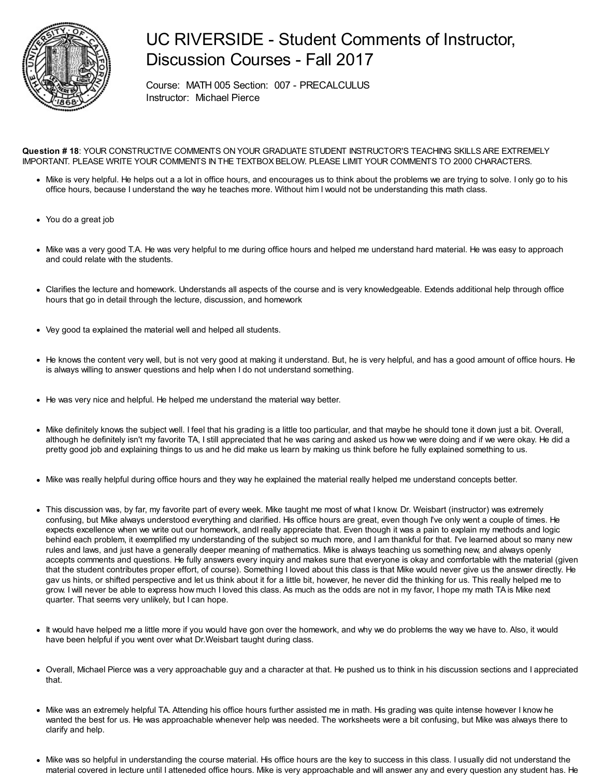

### UC RIVERSIDE - Student Comments of Instructor, Discussion Courses - Fall 2017

Course: MATH 005 Section: 007 - PRECALCULUS Instructor: Michael Pierce

#### **Question # 18**: YOUR CONSTRUCTIVE COMMENTS ON YOUR GRADUATE STUDENT INSTRUCTOR'S TEACHING SKILLS ARE EXTREMELY IMPORTANT. PLEASE WRITE YOUR COMMENTS IN THE TEXTBOX BELOW. PLEASE LIMIT YOUR COMMENTS TO 2000 CHARACTERS.

- Mike is very helpful. He helps out a a lot in office hours, and encourages us to think about the problems we are trying to solve. I only go to his office hours, because I understand the way he teaches more. Without him I would not be understanding this math class.
- You do a great job
- Mike was a very good T.A. He was very helpful to me during office hours and helped me understand hard material. He was easy to approach and could relate with the students.
- Clarifies the lecture and homework. Understands all aspects of the course and is very knowledgeable. Extends additional help through office hours that go in detail through the lecture, discussion, and homework
- Vey good ta explained the material well and helped all students.
- He knows the content very well, but is not very good at making it understand. But, he is very helpful, and has a good amount of office hours. He is always willing to answer questions and help when I do not understand something.
- He was very nice and helpful. He helped me understand the material way better.
- Mike definitely knows the subject well. I feel that his grading is a little too particular, and that maybe he should tone it down just a bit. Overall, although he definitely isn't my favorite TA, I still appreciated that he was caring and asked us how we were doing and if we were okay. He did a pretty good job and explaining things to us and he did make us learn by making us think before he fully explained something to us.
- Mike was really helpful during office hours and they way he explained the material really helped me understand concepts better.
- This discussion was, by far, my favorite part of every week. Mike taught me most of what I know. Dr. Weisbart (instructor) was extremely confusing, but Mike always understood everything and clarified. His office hours are great, even though I've only went a couple of times. He expects excellence when we write out our homework, andI really appreciate that. Even though it was a pain to explain my methods and logic behind each problem, it exemplified my understanding of the subject so much more, and I am thankful for that. I've learned about so many new rules and laws, and just have a generally deeper meaning of mathematics. Mike is always teaching us something new, and always openly accepts comments and questions. He fully answers every inquiry and makes sure that everyone is okay and comfortable with the material (given that the student contributes proper effort, of course). Something I loved about this class is that Mike would never give us the answer directly. He gav us hints, or shifted perspective and let us think about it for a little bit, however, he never did the thinking for us. This really helped me to grow. I will never be able to express how much I loved this class. As much as the odds are not in my favor, I hope my math TA is Mike next quarter. That seems very unlikely, but I can hope.
- It would have helped me a little more if you would have gon over the homework, and why we do problems the way we have to. Also, it would have been helpful if you went over what Dr.Weisbart taught during class.
- Overall, Michael Pierce was a very approachable guy and a character at that. He pushed us to think in his discussion sections and I appreciated that.
- Mike was an extremely helpful TA. Attending his office hours further assisted me in math. His grading was quite intense however I know he wanted the best for us. He was approachable whenever help was needed. The worksheets were a bit confusing, but Mike was always there to clarify and help.
- Mike was so helpful in understanding the course material. His office hours are the key to success in this class. I usually did not understand the material covered in lecture until I atteneded office hours. Mike is very approachable and will answer any and every question any student has. He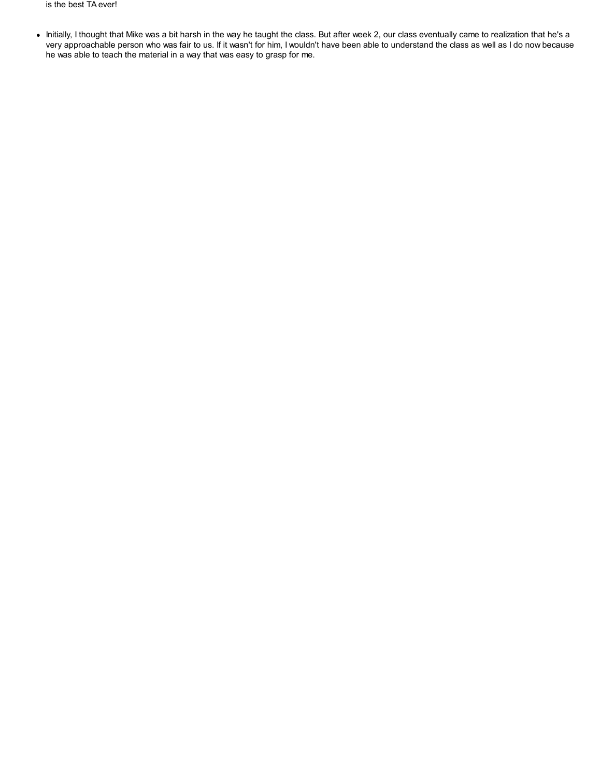is the best TA ever!

• Initially, I thought that Mike was a bit harsh in the way he taught the class. But after week 2, our class eventually came to realization that he's a very approachable person who was fair to us. If it wasn't for him, I wouldn't have been able to understand the class as well as I do now because he was able to teach the material in a way that was easy to grasp for me.